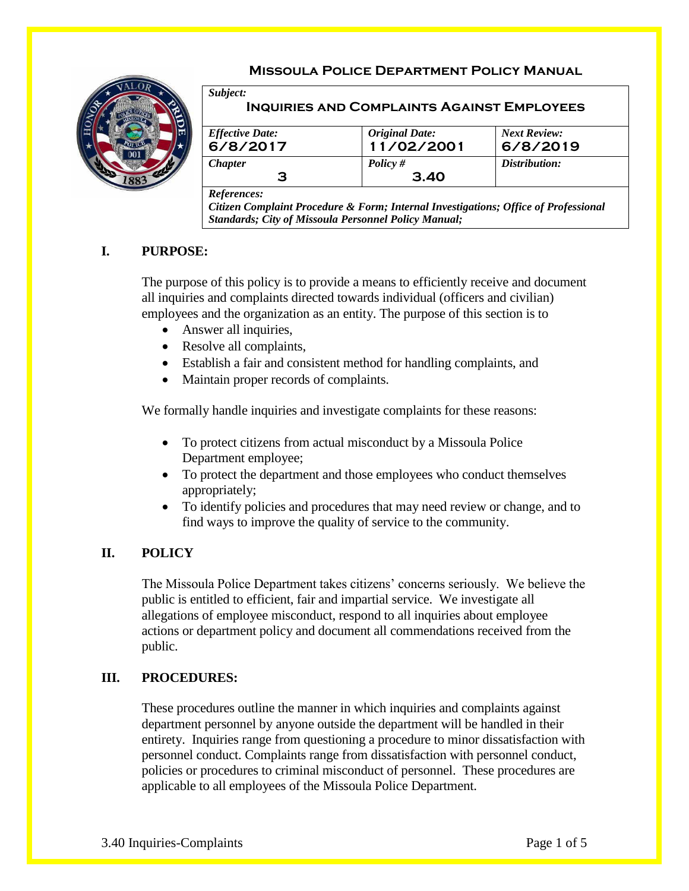# **Missoula Police Department Policy Manual**



**Inquiries and Complaints Against Employees**

| 11/02/2001 | 6/8/2019      |
|------------|---------------|
| Policy #   | Distribution: |
| 3.40       |               |
|            |               |

*References:*

*Subject:*

*Citizen Complaint Procedure & Form; Internal Investigations; Office of Professional Standards; City of Missoula Personnel Policy Manual;*

## **I. PURPOSE:**

The purpose of this policy is to provide a means to efficiently receive and document all inquiries and complaints directed towards individual (officers and civilian) employees and the organization as an entity. The purpose of this section is to

- Answer all inquiries,
- Resolve all complaints,
- Establish a fair and consistent method for handling complaints, and
- Maintain proper records of complaints.

We formally handle inquiries and investigate complaints for these reasons:

- To protect citizens from actual misconduct by a Missoula Police Department employee;
- To protect the department and those employees who conduct themselves appropriately;
- To identify policies and procedures that may need review or change, and to find ways to improve the quality of service to the community.

## **II. POLICY**

The Missoula Police Department takes citizens' concerns seriously. We believe the public is entitled to efficient, fair and impartial service. We investigate all allegations of employee misconduct, respond to all inquiries about employee actions or department policy and document all commendations received from the public.

### **III. PROCEDURES:**

These procedures outline the manner in which inquiries and complaints against department personnel by anyone outside the department will be handled in their entirety. Inquiries range from questioning a procedure to minor dissatisfaction with personnel conduct. Complaints range from dissatisfaction with personnel conduct, policies or procedures to criminal misconduct of personnel. These procedures are applicable to all employees of the Missoula Police Department.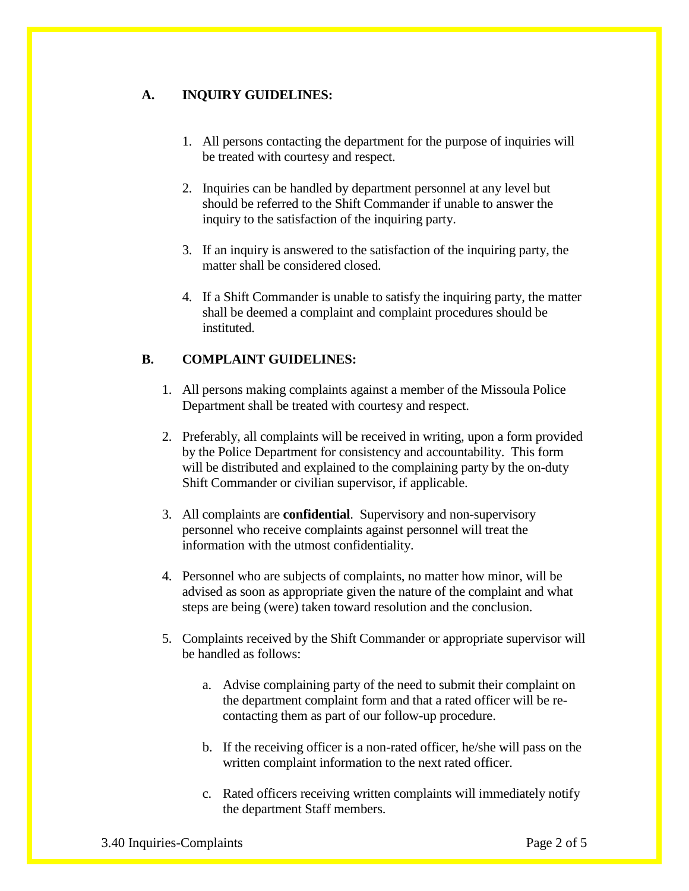# **A. INQUIRY GUIDELINES:**

- 1. All persons contacting the department for the purpose of inquiries will be treated with courtesy and respect.
- 2. Inquiries can be handled by department personnel at any level but should be referred to the Shift Commander if unable to answer the inquiry to the satisfaction of the inquiring party.
- 3. If an inquiry is answered to the satisfaction of the inquiring party, the matter shall be considered closed.
- 4. If a Shift Commander is unable to satisfy the inquiring party, the matter shall be deemed a complaint and complaint procedures should be instituted.

## **B. COMPLAINT GUIDELINES:**

- 1. All persons making complaints against a member of the Missoula Police Department shall be treated with courtesy and respect.
- 2. Preferably, all complaints will be received in writing, upon a form provided by the Police Department for consistency and accountability. This form will be distributed and explained to the complaining party by the on-duty Shift Commander or civilian supervisor, if applicable.
- 3. All complaints are **confidential**. Supervisory and non-supervisory personnel who receive complaints against personnel will treat the information with the utmost confidentiality.
- 4. Personnel who are subjects of complaints, no matter how minor, will be advised as soon as appropriate given the nature of the complaint and what steps are being (were) taken toward resolution and the conclusion.
- 5. Complaints received by the Shift Commander or appropriate supervisor will be handled as follows:
	- a. Advise complaining party of the need to submit their complaint on the department complaint form and that a rated officer will be recontacting them as part of our follow-up procedure.
	- b. If the receiving officer is a non-rated officer, he/she will pass on the written complaint information to the next rated officer.
	- c. Rated officers receiving written complaints will immediately notify the department Staff members.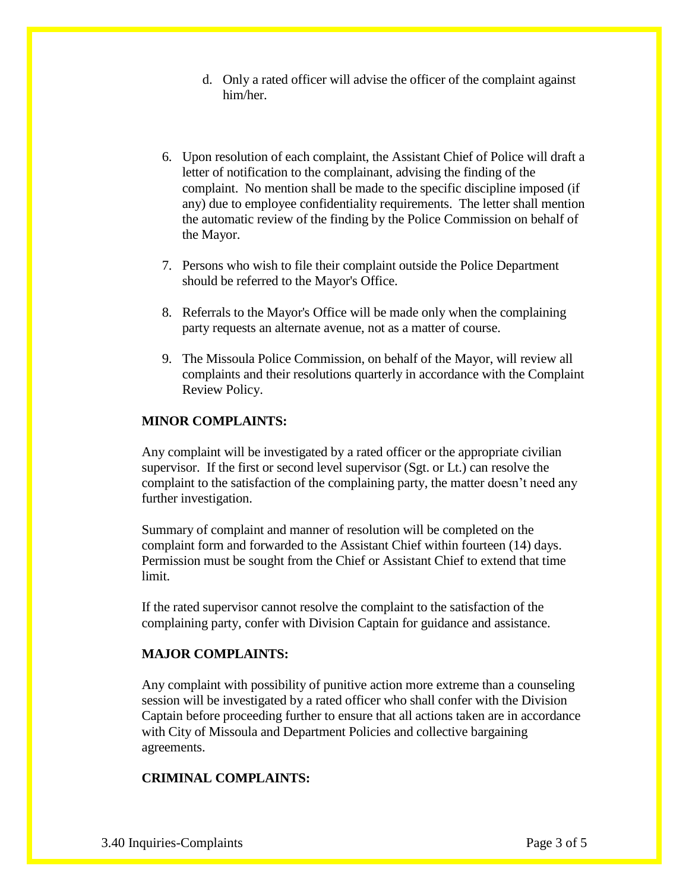- d. Only a rated officer will advise the officer of the complaint against him/her.
- 6. Upon resolution of each complaint, the Assistant Chief of Police will draft a letter of notification to the complainant, advising the finding of the complaint. No mention shall be made to the specific discipline imposed (if any) due to employee confidentiality requirements. The letter shall mention the automatic review of the finding by the Police Commission on behalf of the Mayor.
- 7. Persons who wish to file their complaint outside the Police Department should be referred to the Mayor's Office.
- 8. Referrals to the Mayor's Office will be made only when the complaining party requests an alternate avenue, not as a matter of course.
- 9. The Missoula Police Commission, on behalf of the Mayor, will review all complaints and their resolutions quarterly in accordance with the Complaint Review Policy.

#### **MINOR COMPLAINTS:**

Any complaint will be investigated by a rated officer or the appropriate civilian supervisor. If the first or second level supervisor (Sgt. or Lt.) can resolve the complaint to the satisfaction of the complaining party, the matter doesn't need any further investigation.

Summary of complaint and manner of resolution will be completed on the complaint form and forwarded to the Assistant Chief within fourteen (14) days. Permission must be sought from the Chief or Assistant Chief to extend that time limit.

If the rated supervisor cannot resolve the complaint to the satisfaction of the complaining party, confer with Division Captain for guidance and assistance.

#### **MAJOR COMPLAINTS:**

Any complaint with possibility of punitive action more extreme than a counseling session will be investigated by a rated officer who shall confer with the Division Captain before proceeding further to ensure that all actions taken are in accordance with City of Missoula and Department Policies and collective bargaining agreements.

### **CRIMINAL COMPLAINTS:**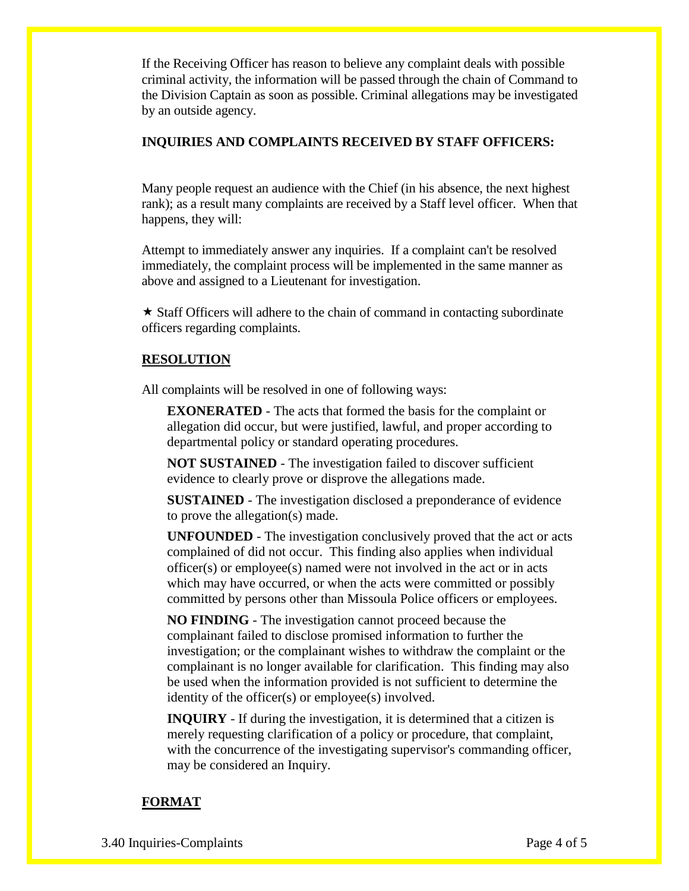If the Receiving Officer has reason to believe any complaint deals with possible criminal activity, the information will be passed through the chain of Command to the Division Captain as soon as possible. Criminal allegations may be investigated by an outside agency.

### **INQUIRIES AND COMPLAINTS RECEIVED BY STAFF OFFICERS:**

Many people request an audience with the Chief (in his absence, the next highest rank); as a result many complaints are received by a Staff level officer. When that happens, they will:

Attempt to immediately answer any inquiries. If a complaint can't be resolved immediately, the complaint process will be implemented in the same manner as above and assigned to a Lieutenant for investigation.

 $\star$  Staff Officers will adhere to the chain of command in contacting subordinate officers regarding complaints.

## **RESOLUTION**

All complaints will be resolved in one of following ways:

**EXONERATED** - The acts that formed the basis for the complaint or allegation did occur, but were justified, lawful, and proper according to departmental policy or standard operating procedures.

**NOT SUSTAINED** - The investigation failed to discover sufficient evidence to clearly prove or disprove the allegations made.

**SUSTAINED** - The investigation disclosed a preponderance of evidence to prove the allegation(s) made.

**UNFOUNDED** - The investigation conclusively proved that the act or acts complained of did not occur. This finding also applies when individual officer(s) or employee(s) named were not involved in the act or in acts which may have occurred, or when the acts were committed or possibly committed by persons other than Missoula Police officers or employees.

**NO FINDING** - The investigation cannot proceed because the complainant failed to disclose promised information to further the investigation; or the complainant wishes to withdraw the complaint or the complainant is no longer available for clarification. This finding may also be used when the information provided is not sufficient to determine the identity of the officer(s) or employee(s) involved.

**INQUIRY** - If during the investigation, it is determined that a citizen is merely requesting clarification of a policy or procedure, that complaint, with the concurrence of the investigating supervisor's commanding officer, may be considered an Inquiry.

# **FORMAT**